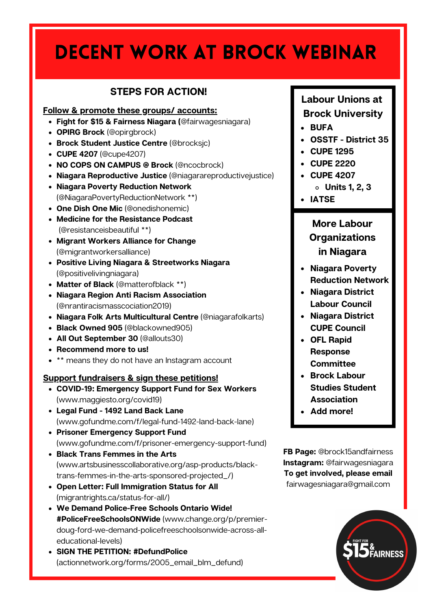# Decent Work at Brock Webinar

### **STEPS FOR ACTION!**

#### **Follow & promote these groups/ accounts:**

- **Fight for \$15 & Fairness Niagara (**@fairwagesniagara)
- **OPIRG Brock** (@opirgbrock)
- **Brock Student Justice Centre** (@brocksjc)
- **CUPE 4207** (@cupe4207)
- **NO COPS ON CAMPUS @ Brock** (@ncocbrock)
- **Niagara Reproductive Justice** (@niagarareproductivejustice)
- **Niagara Poverty Reduction Network** (@NiagaraPovertyReductionNetwork \*\*)
- **One Dish One Mic** (@onedishonemic)
- **Medicine for the Resistance Podcast** (@resistanceisbeautiful \*\*)
- **Migrant Workers Alliance for Change** (@migrantworkersalliance)
- **Positive Living Niagara & Streetworks Niagara** (@positivelivingniagara)
- **Matter of Black** (@matterofblack \*\*)
- **Niagara Region Anti Racism Association** (@nrantiracismasscociation2019)
- **Niagara Folk Arts Multicultural Centre** (@niagarafolkarts)
- **Black Owned 905** (@blackowned905)
- **All Out September 30** (@allouts30)
- **Recommend more to us!**
- \*\* means they do not have an Instagram account

### **Support fundraisers & sign these petitions!**

- **COVID-19: Emergency Support Fund for Sex Workers** (www.maggiesto.org/covid19)
- **Legal Fund - 1492 Land Back Lane** (www.gofundme.com/f/legal-fund-1492-land-back-lane)
- **Prisoner Emergency Support Fund** (www.gofundme.com/f/prisoner-emergency-support-fund)
- **Black Trans Femmes in the Arts** (www.artsbusinesscollaborative.org/asp-products/blacktrans-femmes-in-the-arts-sponsored-projected\_/)
- **Open Letter: Full Immigration Status for All** (migrantrights.ca/status-for-all/)
- **We Demand Police-Free Schools Ontario Wide! #PoliceFreeSchoolsONWide** (www.change.org/p/premierdoug-ford-we-demand-policefreeschoolsonwide-across-alleducational-levels)
- **SIGN THE PETITION: #DefundPolice** (actionnetwork.org/forms/2005\_email\_blm\_defund)

### **Labour Unions at Brock University**

- **BUFA**
- **OSSTF - District 35**
- **CUPE 1295**
- **CUPE 2220**
- **CUPE 4207**
	- **Units 1, 2, 3**
- **IATSE**

**More Labour Organizations in Niagara**

- **Niagara Poverty Reduction Network**
- **Niagara District Labour Council**
- **Niagara District CUPE Council**
- **OFL Rapid Response Committee**
- **Brock Labour Studies Student Association**
- **Add more!**

**FB Page:** @brock15andfairness **Instagram:** @fairwagesniagara **To get involved, please email** fairwagesniagara@gmail.com